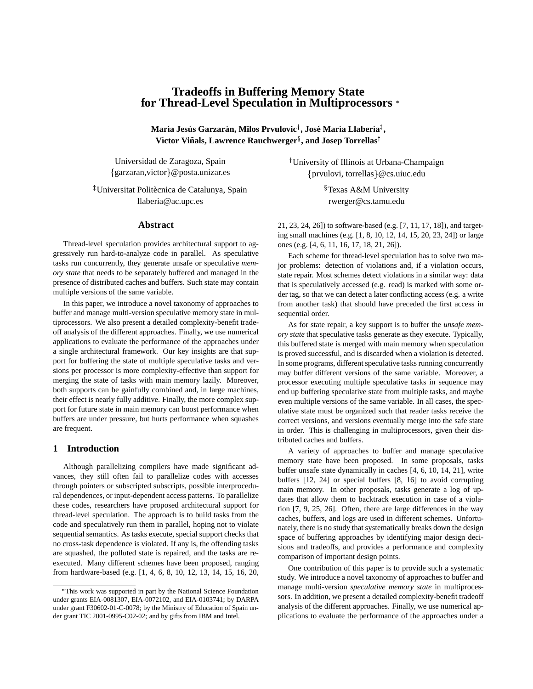# **Tradeoffs in Buffering Memory State for Thread-Level Speculation in Multiprocessors**

 $\mathbf{M}$ aría Jesús Garzarán, Milos Prvulovic $^\dagger$ , José María Llabería $^\dagger,$  $\mathbf{V}$ íctor Viñals, Lawrence Rauchwerger $\mathbf{^{\S}},$  and Josep Torrellas $^\dagger$ 

Universidad de Zaragoza, Spain garzaran,victor @posta.unizar.es

<sup>‡</sup>Universitat Politècnica de Catalunya, Spain llaberia@ac.upc.es

# **Abstract**

Thread-level speculation provides architectural support to aggressively run hard-to-analyze code in parallel. As speculative tasks run concurrently, they generate unsafe or speculative *memory state* that needs to be separately buffered and managed in the presence of distributed caches and buffers. Such state may contain multiple versions of the same variable.

In this paper, we introduce a novel taxonomy of approaches to buffer and manage multi-version speculative memory state in multiprocessors. We also present a detailed complexity-benefit tradeoff analysis of the different approaches. Finally, we use numerical applications to evaluate the performance of the approaches under a single architectural framework. Our key insights are that support for buffering the state of multiple speculative tasks and versions per processor is more complexity-effective than support for merging the state of tasks with main memory lazily. Moreover, both supports can be gainfully combined and, in large machines, their effect is nearly fully additive. Finally, the more complex support for future state in main memory can boost performance when buffers are under pressure, but hurts performance when squashes are frequent.

# **1 Introduction**

Although parallelizing compilers have made significant advances, they still often fail to parallelize codes with accesses through pointers or subscripted subscripts, possible interprocedural dependences, or input-dependent access patterns. To parallelize these codes, researchers have proposed architectural support for thread-level speculation. The approach is to build tasks from the code and speculatively run them in parallel, hoping not to violate sequential semantics. As tasks execute, special support checks that no cross-task dependence is violated. If any is, the offending tasks are squashed, the polluted state is repaired, and the tasks are reexecuted. Many different schemes have been proposed, ranging from hardware-based (e.g. [1, 4, 6, 8, 10, 12, 13, 14, 15, 16, 20,  University of Illinois at Urbana-Champaign prvulovi, torrellas @cs.uiuc.edu

> Texas A&M University rwerger@cs.tamu.edu

21, 23, 24, 26]) to software-based (e.g. [7, 11, 17, 18]), and targeting small machines (e.g. [1, 8, 10, 12, 14, 15, 20, 23, 24]) or large ones (e.g. [4, 6, 11, 16, 17, 18, 21, 26]).

Each scheme for thread-level speculation has to solve two major problems: detection of violations and, if a violation occurs, state repair. Most schemes detect violations in a similar way: data that is speculatively accessed (e.g. read) is marked with some order tag, so that we can detect a later conflicting access (e.g. a write from another task) that should have preceded the first access in sequential order.

As for state repair, a key support is to buffer the *unsafe memory state* that speculative tasks generate as they execute. Typically, this buffered state is merged with main memory when speculation is proved successful, and is discarded when a violation is detected. In some programs, different speculative tasks running concurrently may buffer different versions of the same variable. Moreover, a processor executing multiple speculative tasks in sequence may end up buffering speculative state from multiple tasks, and maybe even multiple versions of the same variable. In all cases, the speculative state must be organized such that reader tasks receive the correct versions, and versions eventually merge into the safe state in order. This is challenging in multiprocessors, given their distributed caches and buffers.

A variety of approaches to buffer and manage speculative memory state have been proposed. In some proposals, tasks buffer unsafe state dynamically in caches [4, 6, 10, 14, 21], write buffers [12, 24] or special buffers [8, 16] to avoid corrupting main memory. In other proposals, tasks generate a log of updates that allow them to backtrack execution in case of a violation [7, 9, 25, 26]. Often, there are large differences in the way caches, buffers, and logs are used in different schemes. Unfortunately, there is no study that systematically breaks down the design space of buffering approaches by identifying major design decisions and tradeoffs, and provides a performance and complexity comparison of important design points.

One contribution of this paper is to provide such a systematic study. We introduce a novel taxonomy of approaches to buffer and manage multi-version *speculative memory state* in multiprocessors. In addition, we present a detailed complexity-benefit tradeoff analysis of the different approaches. Finally, we use numerical applications to evaluate the performance of the approaches under a

This work was supported in part by the National Science Foundation under grants EIA-0081307, EIA-0072102, and EIA-0103741; by DARPA under grant F30602-01-C-0078; by the Ministry of Education of Spain under grant TIC 2001-0995-C02-02; and by gifts from IBM and Intel.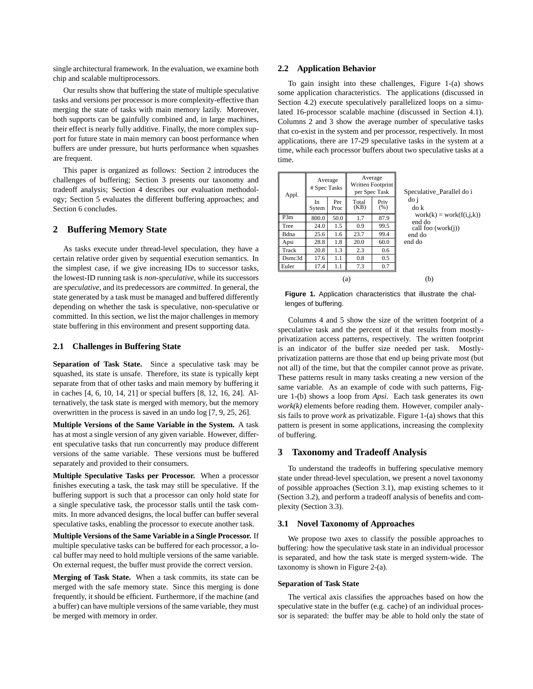single architectural framework. In the evaluation, we examine both chip and scalable multiprocessors.

Our results show that buffering the state of multiple speculative tasks and versions per processor is more complexity-effective than merging the state of tasks with main memory lazily. Moreover, both supports can be gainfully combined and, in large machines, their effect is nearly fully additive. Finally, the more complex support for future state in main memory can boost performance when buffers are under pressure, but hurts performance when squashes are frequent.

This paper is organized as follows: Section 2 introduces the challenges of buffering; Section 3 presents our taxonomy and tradeoff analysis; Section 4 describes our evaluation methodology; Section 5 evaluates the different buffering approaches; and Section 6 concludes.

# **2 Buffering Memory State**

As tasks execute under thread-level speculation, they have a certain relative order given by sequential execution semantics. In the simplest case, if we give increasing IDs to successor tasks, the lowest-ID running task is *non-speculative*, while its successors are *speculative*, and its predecessors are *committed*. In general, the state generated by a task must be managed and buffered differently depending on whether the task is speculative, non-speculative or committed. In this section, we list the major challenges in memory state buffering in this environment and present supporting data.

#### **2.1 Challenges in Buffering State**

**Separation of Task State.** Since a speculative task may be squashed, its state is unsafe. Therefore, its state is typically kept separate from that of other tasks and main memory by buffering it in caches [4, 6, 10, 14, 21] or special buffers [8, 12, 16, 24]. Alternatively, the task state is merged with memory, but the memory overwritten in the process is saved in an undo log [7, 9, 25, 26].

**Multiple Versions of the Same Variable in the System.** A task has at most a single version of any given variable. However, different speculative tasks that run concurrently may produce different versions of the same variable. These versions must be buffered separately and provided to their consumers.

**Multiple Speculative Tasks per Processor.** When a processor finishes executing a task, the task may still be speculative. If the buffering support is such that a processor can only hold state for a single speculative task, the processor stalls until the task commits. In more advanced designs, the local buffer can buffer several speculative tasks, enabling the processor to execute another task.

**Multiple Versions of the Same Variable in a Single Processor.** If multiple speculative tasks can be buffered for each processor, a local buffer may need to hold multiple versions of the same variable. On external request, the buffer must provide the correct version.

**Merging of Task State.** When a task commits, its state can be merged with the safe memory state. Since this merging is done frequently, it should be efficient. Furthermore, if the machine (and a buffer) can have multiple versions of the same variable, they must be merged with memory in order.

# **2.2 Application Behavior**

To gain insight into these challenges, Figure 1-(a) shows some application characteristics. The applications (discussed in Section 4.2) execute speculatively parallelized loops on a simulated 16-processor scalable machine (discussed in Section 4.1). Columns 2 and 3 show the average number of speculative tasks that co-exist in the system and per processor, respectively. In most applications, there are 17-29 speculative tasks in the system at a time, while each processor buffers about two speculative tasks at a time.

| Appl.  | Average<br># Spec Tasks |             | Average<br>Written Footprint<br>per Spec Task |              | Speculative_Parallel do i            |
|--------|-------------------------|-------------|-----------------------------------------------|--------------|--------------------------------------|
|        | In.<br>Sytem            | Per<br>Proc | Total<br>(KB)                                 | Priv<br>(% ) | do i<br>do k                         |
| P3m    | 800.0                   | 50.0        | 1.7                                           | 87.9         | $work(k) = work(f(i,j,k))$<br>end do |
| Tree   | 24.0                    | 1.5         | 0.9                                           | 99.5         | call foo $(work(i))$                 |
| Bdna   | 25.6                    | 1.6         | 23.7                                          | 99.4         | end do                               |
| Apsi   | 28.8                    | 1.8         | 20.0                                          | 60.0         | end do                               |
| Track  | 20.8                    | 1.3         | 2.3                                           | 0.6          |                                      |
| Dsmc3d | 17.6                    | 1.1         | 0.8                                           | 0.5          |                                      |
| Euler  | 17.4                    | 1.1         | 7.3                                           | 0.7          |                                      |
| (a)    |                         |             |                                               |              | (b)                                  |

**Figure 1.** Application characteristics that illustrate the challenges of buffering.

Columns 4 and 5 show the size of the written footprint of a speculative task and the percent of it that results from mostlyprivatization access patterns, respectively. The written footprint is an indicator of the buffer size needed per task. Mostlyprivatization patterns are those that end up being private most (but not all) of the time, but that the compiler cannot prove as private. These patterns result in many tasks creating a new version of the same variable. As an example of code with such patterns, Figure 1-(b) shows a loop from *Apsi*. Each task generates its own *work(k)* elements before reading them. However, compiler analysis fails to prove *work* as privatizable. Figure 1-(a) shows that this pattern is present in some applications, increasing the complexity of buffering.

# **3 Taxonomy and Tradeoff Analysis**

To understand the tradeoffs in buffering speculative memory state under thread-level speculation, we present a novel taxonomy of possible approaches (Section 3.1), map existing schemes to it (Section 3.2), and perform a tradeoff analysis of benefits and complexity (Section 3.3).

# **3.1 Novel Taxonomy of Approaches**

We propose two axes to classify the possible approaches to buffering: how the speculative task state in an individual processor is separated, and how the task state is merged system-wide. The taxonomy is shown in Figure 2-(a).

# **Separation of Task State**

The vertical axis classifies the approaches based on how the speculative state in the buffer (e.g. cache) of an individual processor is separated: the buffer may be able to hold only the state of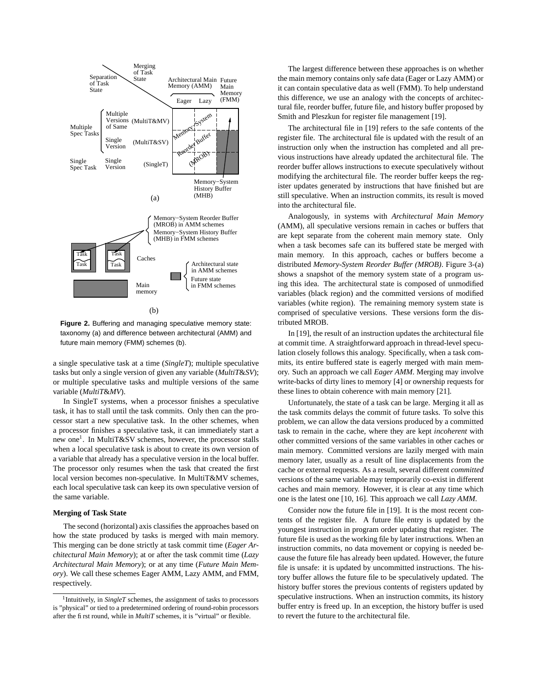

**Figure 2.** Buffering and managing speculative memory state: taxonomy (a) and difference between architectural (AMM) and future main memory (FMM) schemes (b).

a single speculative task at a time (*SingleT*); multiple speculative tasks but only a single version of given any variable (*MultiT*&*SV*); or multiple speculative tasks and multiple versions of the same variable (*MultiT*&*MV*).

In SingleT systems, when a processor finishes a speculative task, it has to stall until the task commits. Only then can the processor start a new speculative task. In the other schemes, when a processor finishes a speculative task, it can immediately start a new one<sup>1</sup>. In MultiT&SV schemes, however, the processor stalls when a local speculative task is about to create its own version of a variable that already has a speculative version in the local buffer. The processor only resumes when the task that created the first local version becomes non-speculative. In MultiT&MV schemes, each local speculative task can keep its own speculative version of the same variable.

### **Merging of Task State**

The second (horizontal) axis classifies the approaches based on how the state produced by tasks is merged with main memory. This merging can be done strictly at task commit time (*Eager Architectural Main Memory*); at or after the task commit time (*Lazy Architectural Main Memory*); or at any time (*Future Main Memory*). We call these schemes Eager AMM, Lazy AMM, and FMM, respectively.

The largest difference between these approaches is on whether the main memory contains only safe data (Eager or Lazy AMM) or it can contain speculative data as well (FMM). To help understand this difference, we use an analogy with the concepts of architectural file, reorder buffer, future file, and history buffer proposed by Smith and Pleszkun for register file management [19].

The architectural file in [19] refers to the safe contents of the register file. The architectural file is updated with the result of an instruction only when the instruction has completed and all previous instructions have already updated the architectural file. The reorder buffer allows instructions to execute speculatively without modifying the architectural file. The reorder buffer keeps the register updates generated by instructions that have finished but are still speculative. When an instruction commits, its result is moved into the architectural file.

Analogously, in systems with *Architectural Main Memory* (AMM), all speculative versions remain in caches or buffers that are kept separate from the coherent main memory state. Only when a task becomes safe can its buffered state be merged with main memory. In this approach, caches or buffers become a distributed *Memory-System Reorder Buffer (MROB)*. Figure 3-(a) shows a snapshot of the memory system state of a program using this idea. The architectural state is composed of unmodified variables (black region) and the committed versions of modified variables (white region). The remaining memory system state is comprised of speculative versions. These versions form the distributed MROB.

In [19], the result of an instruction updates the architectural file at commit time. A straightforward approach in thread-level speculation closely follows this analogy. Specifically, when a task commits, its entire buffered state is eagerly merged with main memory. Such an approach we call *Eager AMM*. Merging may involve write-backs of dirty lines to memory [4] or ownership requests for these lines to obtain coherence with main memory [21].

Unfortunately, the state of a task can be large. Merging it all as the task commits delays the commit of future tasks. To solve this problem, we can allow the data versions produced by a committed task to remain in the cache, where they are kept *incoherent* with other committed versions of the same variables in other caches or main memory. Committed versions are lazily merged with main memory later, usually as a result of line displacements from the cache or external requests. As a result, several different *committed* versions of the same variable may temporarily co-exist in different caches and main memory. However, it is clear at any time which one is the latest one [10, 16]. This approach we call *Lazy AMM*.

Consider now the future file in [19]. It is the most recent contents of the register file. A future file entry is updated by the youngest instruction in program order updating that register. The future file is used as the working file by later instructions. When an instruction commits, no data movement or copying is needed because the future file has already been updated. However, the future file is unsafe: it is updated by uncommitted instructions. The history buffer allows the future file to be speculatively updated. The history buffer stores the previous contents of registers updated by speculative instructions. When an instruction commits, its history buffer entry is freed up. In an exception, the history buffer is used to revert the future to the architectural file.

<sup>&</sup>lt;sup>1</sup>Intuitively, in *SingleT* schemes, the assignment of tasks to processors is "physical" or tied to a predetermined ordering of round-robin processors after the first round, while in *MultiT* schemes, it is "virtual" or flexible.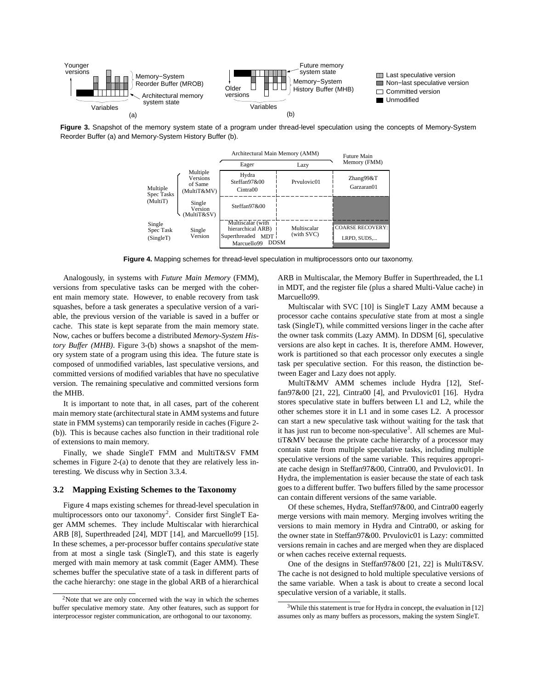

**Figure 3.** Snapshot of the memory system state of a program under thread-level speculation using the concepts of Memory-System Reorder Buffer (a) and Memory-System History Buffer (b).



**Figure 4.** Mapping schemes for thread-level speculation in multiprocessors onto our taxonomy.

Analogously, in systems with *Future Main Memory* (FMM), versions from speculative tasks can be merged with the coherent main memory state. However, to enable recovery from task squashes, before a task generates a speculative version of a variable, the previous version of the variable is saved in a buffer or cache. This state is kept separate from the main memory state. Now, caches or buffers become a distributed *Memory-System History Buffer (MHB)*. Figure 3-(b) shows a snapshot of the memory system state of a program using this idea. The future state is composed of unmodified variables, last speculative versions, and committed versions of modified variables that have no speculative version. The remaining speculative and committed versions form the MHB.

It is important to note that, in all cases, part of the coherent main memory state (architectural state in AMM systems and future state in FMM systems) can temporarily reside in caches (Figure 2- (b)). This is because caches also function in their traditional role of extensions to main memory.

Finally, we shade SingleT FMM and MultiT&SV FMM schemes in Figure 2-(a) to denote that they are relatively less interesting. We discuss why in Section 3.3.4.

#### **3.2 Mapping Existing Schemes to the Taxonomy**

Figure 4 maps existing schemes for thread-level speculation in multiprocessors onto our taxonomy<sup>2</sup>. Consider first SingleT Eager AMM schemes. They include Multiscalar with hierarchical ARB [8], Superthreaded [24], MDT [14], and Marcuello99 [15]. In these schemes, a per-processor buffer contains *speculative* state from at most a single task (SingleT), and this state is eagerly merged with main memory at task commit (Eager AMM). These schemes buffer the speculative state of a task in different parts of the cache hierarchy: one stage in the global ARB of a hierarchical

ARB in Multiscalar, the Memory Buffer in Superthreaded, the L1 in MDT, and the register file (plus a shared Multi-Value cache) in Marcuello99.

Multiscalar with SVC [10] is SingleT Lazy AMM because a processor cache contains *speculative* state from at most a single task (SingleT), while committed versions linger in the cache after the owner task commits (Lazy AMM). In DDSM [6], speculative versions are also kept in caches. It is, therefore AMM. However, work is partitioned so that each processor only executes a single task per speculative section. For this reason, the distinction between Eager and Lazy does not apply.

MultiT&MV AMM schemes include Hydra [12], Steffan97&00 [21, 22], Cintra00 [4], and Prvulovic01 [16]. Hydra stores speculative state in buffers between L1 and L2, while the other schemes store it in L1 and in some cases L2. A processor can start a new speculative task without waiting for the task that it has just run to become non-speculative<sup>3</sup>. All schemes are MultiT&MV because the private cache hierarchy of a processor may contain state from multiple speculative tasks, including multiple speculative versions of the same variable. This requires appropriate cache design in Steffan97&00, Cintra00, and Prvulovic01. In Hydra, the implementation is easier because the state of each task goes to a different buffer. Two buffers filled by the same processor can contain different versions of the same variable.

Of these schemes, Hydra, Steffan97&00, and Cintra00 eagerly merge versions with main memory. Merging involves writing the versions to main memory in Hydra and Cintra00, or asking for the owner state in Steffan97&00. Prvulovic01 is Lazy: committed versions remain in caches and are merged when they are displaced or when caches receive external requests.

One of the designs in Steffan97&00 [21, 22] is MultiT&SV. The cache is not designed to hold multiple speculative versions of the same variable. When a task is about to create a second local speculative version of a variable, it stalls.

<sup>&</sup>lt;sup>2</sup>Note that we are only concerned with the way in which the schemes buffer speculative memory state. Any other features, such as support for interprocessor register communication, are orthogonal to our taxonomy.

 $3$ While this statement is true for Hydra in concept, the evaluation in [12] assumes only as many buffers as processors, making the system SingleT.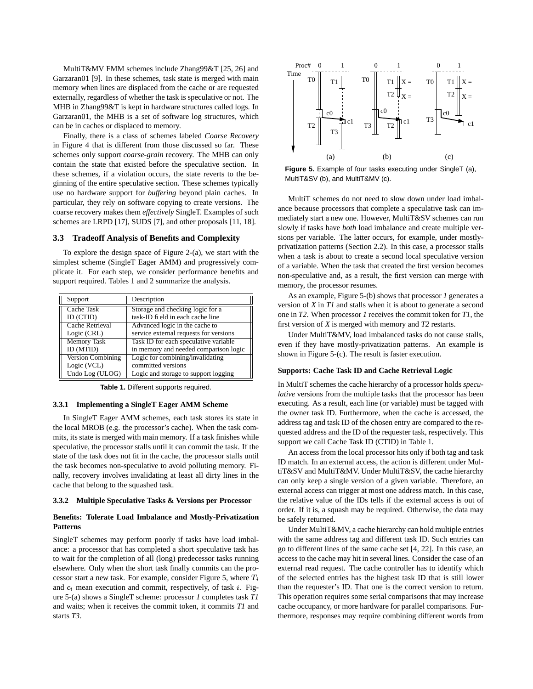MultiT&MV FMM schemes include Zhang99&T [25, 26] and Garzaran01 [9]. In these schemes, task state is merged with main memory when lines are displaced from the cache or are requested externally, regardless of whether the task is speculative or not. The MHB in Zhang99&T is kept in hardware structures called logs. In Garzaran01, the MHB is a set of software log structures, which can be in caches or displaced to memory.

Finally, there is a class of schemes labeled *Coarse Recovery* in Figure 4 that is different from those discussed so far. These schemes only support *coarse-grain* recovery. The MHB can only contain the state that existed before the speculative section. In these schemes, if a violation occurs, the state reverts to the beginning of the entire speculative section. These schemes typically use no hardware support for *buffering* beyond plain caches. In particular, they rely on software copying to create versions. The coarse recovery makes them *effectively* SingleT. Examples of such schemes are LRPD [17], SUDS [7], and other proposals [11, 18].

### **3.3 Tradeoff Analysis of Benefits and Complexity**

To explore the design space of Figure 2-(a), we start with the simplest scheme (SingleT Eager AMM) and progressively complicate it. For each step, we consider performance benefits and support required. Tables 1 and 2 summarize the analysis.

| Support                  | Description                            |
|--------------------------|----------------------------------------|
| Cache Task               | Storage and checking logic for a       |
| ID (CTID)                | task-ID fi eld in each cache line      |
| Cache Retrieval          | Advanced logic in the cache to         |
| Logic (CRL)              | service external requests for versions |
| <b>Memory Task</b>       | Task ID for each speculative variable  |
| ID (MTID)                | in memory and needed comparison logic  |
| <b>Version Combining</b> | Logic for combining/invalidating       |
| Logic (VCL)              | committed versions                     |
| Undo Log (ULOG)          | Logic and storage to support logging   |

**Table 1.** Different supports required.

#### **3.3.1 Implementing a SingleT Eager AMM Scheme**

In SingleT Eager AMM schemes, each task stores its state in the local MROB (e.g. the processor's cache). When the task commits, its state is merged with main memory. If a task finishes while speculative, the processor stalls until it can commit the task. If the state of the task does not fit in the cache, the processor stalls until the task becomes non-speculative to avoid polluting memory. Finally, recovery involves invalidating at least all dirty lines in the cache that belong to the squashed task.

#### **3.3.2 Multiple Speculative Tasks & Versions per Processor**

# **Benefits: Tolerate Load Imbalance and Mostly-Privatization Patterns**

SingleT schemes may perform poorly if tasks have load imbalance: a processor that has completed a short speculative task has to wait for the completion of all (long) predecessor tasks running elsewhere. Only when the short task finally commits can the processor start a new task. For example, consider Figure 5, where  $T_i$ and  $c_i$  mean execution and commit, respectively, of task  $i$ . Figure 5-(a) shows a SingleT scheme: processor *1* completes task *T1* and waits; when it receives the commit token, it commits *T1* and starts *T3*.



**Figure 5.** Example of four tasks executing under SingleT (a), MultiT&SV (b), and MultiT&MV (c).

MultiT schemes do not need to slow down under load imbalance because processors that complete a speculative task can immediately start a new one. However, MultiT&SV schemes can run slowly if tasks have *both* load imbalance and create multiple versions per variable. The latter occurs, for example, under mostlyprivatization patterns (Section 2.2). In this case, a processor stalls when a task is about to create a second local speculative version of a variable. When the task that created the first version becomes non-speculative and, as a result, the first version can merge with memory, the processor resumes.

As an example, Figure 5-(b) shows that processor *1* generates a version of *X* in *T1* and stalls when it is about to generate a second one in *T2*. When processor *1* receives the commit token for *T1*, the first version of *X* is merged with memory and *T2* restarts.

Under MultiT&MV, load imbalanced tasks do not cause stalls, even if they have mostly-privatization patterns. An example is shown in Figure 5-(c). The result is faster execution.

#### **Supports: Cache Task ID and Cache Retrieval Logic**

In MultiT schemes the cache hierarchy of a processor holds *speculative* versions from the multiple tasks that the processor has been executing. As a result, each line (or variable) must be tagged with the owner task ID. Furthermore, when the cache is accessed, the address tag and task ID of the chosen entry are compared to the requested address and the ID of the requester task, respectively. This support we call Cache Task ID (CTID) in Table 1.

An access from the local processor hits only if both tag and task ID match. In an external access, the action is different under MultiT&SV and MultiT&MV. Under MultiT&SV, the cache hierarchy can only keep a single version of a given variable. Therefore, an external access can trigger at most one address match. In this case, the relative value of the IDs tells if the external access is out of order. If it is, a squash may be required. Otherwise, the data may be safely returned.

Under MultiT&MV, a cache hierarchy can hold multiple entries with the same address tag and different task ID. Such entries can go to different lines of the same cache set [4, 22]. In this case, an access to the cache may hit in several lines. Consider the case of an external read request. The cache controller has to identify which of the selected entries has the highest task ID that is still lower than the requester's ID. That one is the correct version to return. This operation requires some serial comparisons that may increase cache occupancy, or more hardware for parallel comparisons. Furthermore, responses may require combining different words from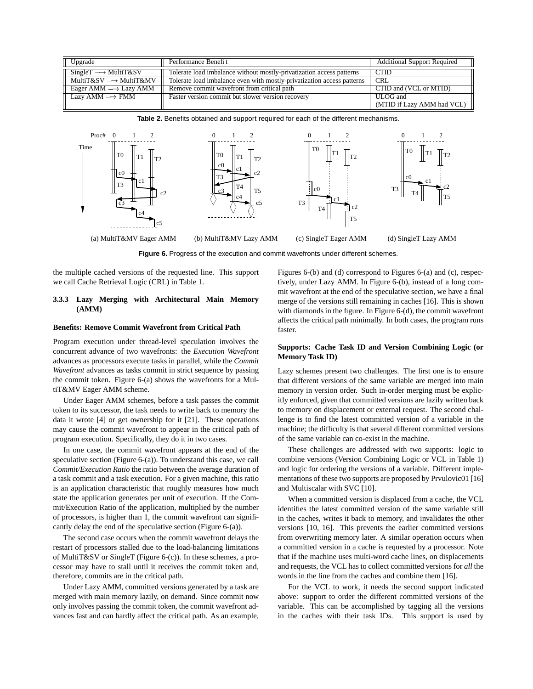| Upgrade                               | Performance Benefit                                                    | <b>Additional Support Required</b> |  |  |
|---------------------------------------|------------------------------------------------------------------------|------------------------------------|--|--|
| $SingleT \longrightarrow MultiT&SV$   | Tolerate load imbalance without mostly-privatization access patterns   | <b>CTID</b>                        |  |  |
| MultiT&SV $\longrightarrow$ MultiT&MV | Tolerate load imbalance even with mostly-privatization access patterns | CRI.                               |  |  |
| Eager AMM $\longrightarrow$ Lazy AMM  | Remove commit wavefront from critical path                             | CTID and (VCL or MTID)             |  |  |
| Lazy AMM $\longrightarrow$ FMM        | Faster version commit but slower version recovery                      | ULOG and                           |  |  |
|                                       |                                                                        | (MTID if Lazy AMM had VCL)         |  |  |

**Table 2.** Benefits obtained and support required for each of the different mechanisms.



**Figure 6.** Progress of the execution and commit wavefronts under different schemes.

the multiple cached versions of the requested line. This support we call Cache Retrieval Logic (CRL) in Table 1.

# **3.3.3 Lazy Merging with Architectural Main Memory (AMM)**

#### **Benefits: Remove Commit Wavefront from Critical Path**

Program execution under thread-level speculation involves the concurrent advance of two wavefronts: the *Execution Wavefront* advances as processors execute tasks in parallel, while the *Commit Wavefront* advances as tasks commit in strict sequence by passing the commit token. Figure 6-(a) shows the wavefronts for a MultiT&MV Eager AMM scheme.

Under Eager AMM schemes, before a task passes the commit token to its successor, the task needs to write back to memory the data it wrote [4] or get ownership for it [21]. These operations may cause the commit wavefront to appear in the critical path of program execution. Specifically, they do it in two cases.

In one case, the commit wavefront appears at the end of the speculative section (Figure 6-(a)). To understand this case, we call *Commit/Execution Ratio* the ratio between the average duration of a task commit and a task execution. For a given machine, this ratio is an application characteristic that roughly measures how much state the application generates per unit of execution. If the Commit/Execution Ratio of the application, multiplied by the number of processors, is higher than 1, the commit wavefront can significantly delay the end of the speculative section (Figure 6-(a)).

The second case occurs when the commit wavefront delays the restart of processors stalled due to the load-balancing limitations of MultiT&SV or SingleT (Figure 6-(c)). In these schemes, a processor may have to stall until it receives the commit token and, therefore, commits are in the critical path.

Under Lazy AMM, committed versions generated by a task are merged with main memory lazily, on demand. Since commit now only involves passing the commit token, the commit wavefront advances fast and can hardly affect the critical path. As an example, Figures 6-(b) and (d) correspond to Figures 6-(a) and (c), respectively, under Lazy AMM. In Figure 6-(b), instead of a long commit wavefront at the end of the speculative section, we have a final merge of the versions still remaining in caches [16]. This is shown with diamonds in the figure. In Figure 6-(d), the commit wavefront affects the critical path minimally. In both cases, the program runs faster.

# **Supports: Cache Task ID and Version Combining Logic (or Memory Task ID)**

Lazy schemes present two challenges. The first one is to ensure that different versions of the same variable are merged into main memory in version order. Such in-order merging must be explicitly enforced, given that committed versions are lazily written back to memory on displacement or external request. The second challenge is to find the latest committed version of a variable in the machine; the difficulty is that several different committed versions of the same variable can co-exist in the machine.

These challenges are addressed with two supports: logic to combine versions (Version Combining Logic or VCL in Table 1) and logic for ordering the versions of a variable. Different implementations of these two supports are proposed by Prvulovic01 [16] and Multiscalar with SVC [10].

When a committed version is displaced from a cache, the VCL identifies the latest committed version of the same variable still in the caches, writes it back to memory, and invalidates the other versions [10, 16]. This prevents the earlier committed versions from overwriting memory later. A similar operation occurs when a committed version in a cache is requested by a processor. Note that if the machine uses multi-word cache lines, on displacements and requests, the VCL has to collect committed versions for *all* the words in the line from the caches and combine them [16].

For the VCL to work, it needs the second support indicated above: support to order the different committed versions of the variable. This can be accomplished by tagging all the versions in the caches with their task IDs. This support is used by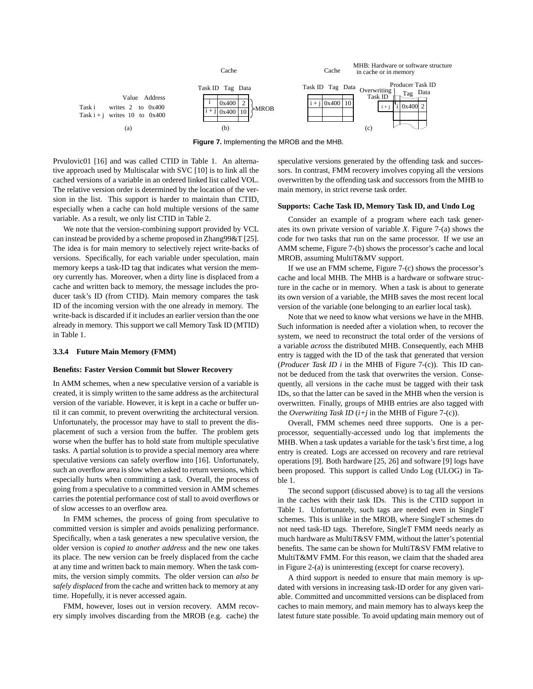

**Figure 7.** Implementing the MROB and the MHB.

Prvulovic01 [16] and was called CTID in Table 1. An alternative approach used by Multiscalar with SVC [10] is to link all the cached versions of a variable in an ordered linked list called VOL. The relative version order is determined by the location of the version in the list. This support is harder to maintain than CTID, especially when a cache can hold multiple versions of the same variable. As a result, we only list CTID in Table 2.

We note that the version-combining support provided by VCL can instead be provided by a scheme proposed in Zhang99&T [25]. The idea is for main memory to selectively reject write-backs of versions. Specifically, for each variable under speculation, main memory keeps a task-ID tag that indicates what version the memory currently has. Moreover, when a dirty line is displaced from a cache and written back to memory, the message includes the producer task's ID (from CTID). Main memory compares the task ID of the incoming version with the one already in memory. The write-back is discarded if it includes an earlier version than the one already in memory. This support we call Memory Task ID (MTID) in Table 1.

#### **3.3.4 Future Main Memory (FMM)**

#### **Benefits: Faster Version Commit but Slower Recovery**

In AMM schemes, when a new speculative version of a variable is created, it is simply written to the same address as the architectural version of the variable. However, it is kept in a cache or buffer until it can commit, to prevent overwriting the architectural version. Unfortunately, the processor may have to stall to prevent the displacement of such a version from the buffer. The problem gets worse when the buffer has to hold state from multiple speculative tasks. A partial solution is to provide a special memory area where speculative versions can safely overflow into [16]. Unfortunately, such an overflow area is slow when asked to return versions, which especially hurts when committing a task. Overall, the process of going from a speculative to a committed version in AMM schemes carries the potential performance cost of stall to avoid overflows or of slow accesses to an overflow area.

In FMM schemes, the process of going from speculative to committed version is simpler and avoids penalizing performance. Specifically, when a task generates a new speculative version, the older version is *copied to another address* and the new one takes its place. The new version can be freely displaced from the cache at any time and written back to main memory. When the task commits, the version simply commits. The older version can *also be safely displaced* from the cache and written back to memory at any time. Hopefully, it is never accessed again.

FMM, however, loses out in version recovery. AMM recovery simply involves discarding from the MROB (e.g. cache) the speculative versions generated by the offending task and successors. In contrast, FMM recovery involves copying all the versions overwritten by the offending task and successors from the MHB to main memory, in strict reverse task order.

#### **Supports: Cache Task ID, Memory Task ID, and Undo Log**

Consider an example of a program where each task generates its own private version of variable *X*. Figure 7-(a) shows the code for two tasks that run on the same processor. If we use an AMM scheme, Figure 7-(b) shows the processor's cache and local MROB, assuming MultiT&MV support.

If we use an FMM scheme, Figure 7-(c) shows the processor's cache and local MHB. The MHB is a hardware or software structure in the cache or in memory. When a task is about to generate its own version of a variable, the MHB saves the most recent local version of the variable (one belonging to an earlier local task).

Note that we need to know what versions we have in the MHB. Such information is needed after a violation when, to recover the system, we need to reconstruct the total order of the versions of a variable *across* the distributed MHB. Consequently, each MHB entry is tagged with the ID of the task that generated that version (*Producer Task ID i* in the MHB of Figure 7-(c)). This ID cannot be deduced from the task that overwrites the version. Consequently, all versions in the cache must be tagged with their task IDs, so that the latter can be saved in the MHB when the version is overwritten. Finally, groups of MHB entries are also tagged with the *Overwriting* Task *ID* ( $i+j$  in the MHB of Figure 7-(c)).

Overall, FMM schemes need three supports. One is a perprocessor, sequentially-accessed undo log that implements the MHB. When a task updates a variable for the task's first time, a log entry is created. Logs are accessed on recovery and rare retrieval operations [9]. Both hardware [25, 26] and software [9] logs have been proposed. This support is called Undo Log (ULOG) in Table 1.

The second support (discussed above) is to tag all the versions in the caches with their task IDs. This is the CTID support in Table 1. Unfortunately, such tags are needed even in SingleT schemes. This is unlike in the MROB, where SingleT schemes do not need task-ID tags. Therefore, SingleT FMM needs nearly as much hardware as MultiT&SV FMM, without the latter's potential benefits. The same can be shown for MultiT&SV FMM relative to MultiT&MV FMM. For this reason, we claim that the shaded area in Figure 2-(a) is uninteresting (except for coarse recovery).

A third support is needed to ensure that main memory is updated with versions in increasing task-ID order for any given variable. Committed and uncommitted versions can be displaced from caches to main memory, and main memory has to always keep the latest future state possible. To avoid updating main memory out of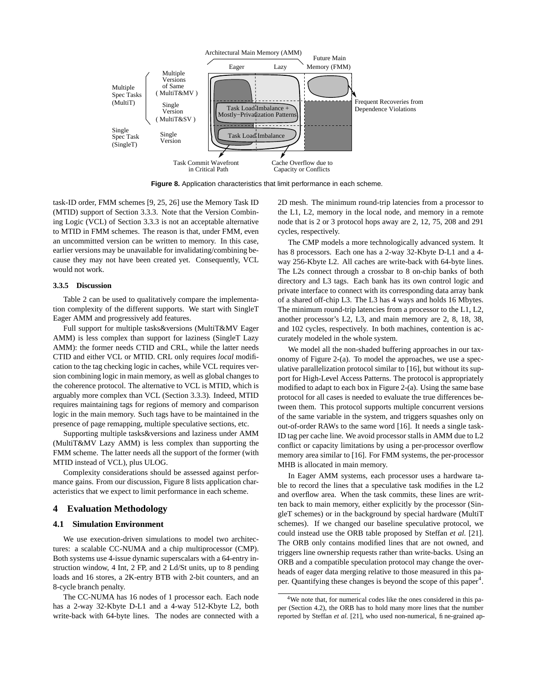

**Figure 8.** Application characteristics that limit performance in each scheme.

task-ID order, FMM schemes [9, 25, 26] use the Memory Task ID (MTID) support of Section 3.3.3. Note that the Version Combining Logic (VCL) of Section 3.3.3 is not an acceptable alternative to MTID in FMM schemes. The reason is that, under FMM, even an uncommitted version can be written to memory. In this case, earlier versions may be unavailable for invalidating/combining because they may not have been created yet. Consequently, VCL would not work.

# **3.3.5 Discussion**

Table 2 can be used to qualitatively compare the implementation complexity of the different supports. We start with SingleT Eager AMM and progressively add features.

Full support for multiple tasks&versions (MultiT&MV Eager AMM) is less complex than support for laziness (SingleT Lazy AMM): the former needs CTID and CRL, while the latter needs CTID and either VCL or MTID. CRL only requires *local* modification to the tag checking logic in caches, while VCL requires version combining logic in main memory, as well as global changes to the coherence protocol. The alternative to VCL is MTID, which is arguably more complex than VCL (Section 3.3.3). Indeed, MTID requires maintaining tags for regions of memory and comparison logic in the main memory. Such tags have to be maintained in the presence of page remapping, multiple speculative sections, etc.

Supporting multiple tasks&versions and laziness under AMM (MultiT&MV Lazy AMM) is less complex than supporting the FMM scheme. The latter needs all the support of the former (with MTID instead of VCL), plus ULOG.

Complexity considerations should be assessed against performance gains. From our discussion, Figure 8 lists application characteristics that we expect to limit performance in each scheme.

# **4 Evaluation Methodology**

# **4.1 Simulation Environment**

We use execution-driven simulations to model two architectures: a scalable CC-NUMA and a chip multiprocessor (CMP). Both systems use 4-issue dynamic superscalars with a 64-entry instruction window, 4 Int, 2 FP, and 2 Ld/St units, up to 8 pending loads and 16 stores, a 2K-entry BTB with 2-bit counters, and an 8-cycle branch penalty.

The CC-NUMA has 16 nodes of 1 processor each. Each node has a 2-way 32-Kbyte D-L1 and a 4-way 512-Kbyte L2, both write-back with 64-byte lines. The nodes are connected with a

2D mesh. The minimum round-trip latencies from a processor to the L1, L2, memory in the local node, and memory in a remote node that is 2 or 3 protocol hops away are 2, 12, 75, 208 and 291 cycles, respectively.

The CMP models a more technologically advanced system. It has 8 processors. Each one has a 2-way 32-Kbyte D-L1 and a 4 way 256-Kbyte L2. All caches are write-back with 64-byte lines. The L2s connect through a crossbar to 8 on-chip banks of both directory and L3 tags. Each bank has its own control logic and private interface to connect with its corresponding data array bank of a shared off-chip L3. The L3 has 4 ways and holds 16 Mbytes. The minimum round-trip latencies from a processor to the L1, L2, another processor's L2, L3, and main memory are 2, 8, 18, 38, and 102 cycles, respectively. In both machines, contention is accurately modeled in the whole system.

We model all the non-shaded buffering approaches in our taxonomy of Figure 2-(a). To model the approaches, we use a speculative parallelization protocol similar to [16], but without its support for High-Level Access Patterns. The protocol is appropriately modified to adapt to each box in Figure 2-(a). Using the same base protocol for all cases is needed to evaluate the true differences between them. This protocol supports multiple concurrent versions of the same variable in the system, and triggers squashes only on out-of-order RAWs to the same word [16]. It needs a single task-ID tag per cache line. We avoid processor stalls in AMM due to L2 conflict or capacity limitations by using a per-processor overflow memory area similar to [16]. For FMM systems, the per-processor MHB is allocated in main memory.

In Eager AMM systems, each processor uses a hardware table to record the lines that a speculative task modifies in the L2 and overflow area. When the task commits, these lines are written back to main memory, either explicitly by the processor (SingleT schemes) or in the background by special hardware (MultiT schemes). If we changed our baseline speculative protocol, we could instead use the ORB table proposed by Steffan *et al.* [21]. The ORB only contains modified lines that are not owned, and triggers line ownership requests rather than write-backs. Using an ORB and a compatible speculation protocol may change the overheads of eager data merging relative to those measured in this paper. Quantifying these changes is beyond the scope of this paper<sup>4</sup>.

<sup>&</sup>lt;sup>4</sup>We note that, for numerical codes like the ones considered in this paper (Section 4.2), the ORB has to hold many more lines that the number reported by Steffan *et al.* [21], who used non-numerical, fine-grained ap-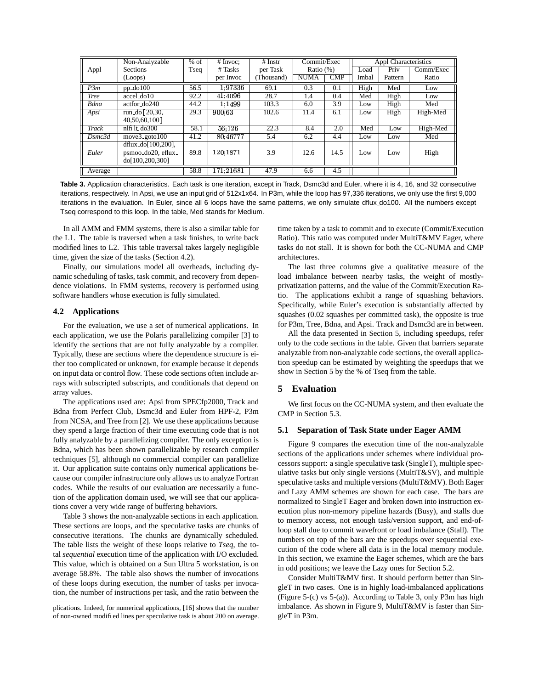|             | Non-Analyzable                                                  | $%$ of | # Invoc;  | $#$ Instr         | Commit/Exec  |      | <b>Appl Characteristics</b> |         |           |
|-------------|-----------------------------------------------------------------|--------|-----------|-------------------|--------------|------|-----------------------------|---------|-----------|
| Appl        | <b>Sections</b>                                                 | Tseq   | # Tasks   | per Task          | Ratio $(\%)$ |      | Load                        | Priv    | Comm/Exec |
|             | (Loops)                                                         |        | per Invoc | (Thousand)        | <b>NUMA</b>  | CMP  | Imbal                       | Pattern | Ratio     |
| P3m         | $pp_d$ do $100$                                                 | 56.5   | 1:97336   | 69.1              | 0.3          | 0.1  | High                        | Med     | Low       |
| <b>Tree</b> | accel_do10                                                      | 92.2   | 41:4096   | 28.7              | 1.4          | 0.4  | Med                         | High    | Low       |
| Bdna        | actfor_do240                                                    | 44.2   | 1:1499    | 103.3             | 6.0          | 3.9  | Low                         | High    | Med       |
| Apsi        | run_do [20,30,                                                  | 29.3   | 900:63    | 102.6             | 11.4         | 6.1  | Low                         | High    | High-Med  |
|             | 40,50,60,100]                                                   |        |           |                   |              |      |                             |         |           |
| Track       | $nIf$ lt do 300                                                 | 58.1   | 56:126    | 22.3              | 8.4          | 2.0  | Med                         | Low     | High-Med  |
| Dsmc3d      | move $3$ -goto $100$                                            | 41.2   | 80:46777  | 5.4               | 6.2          | 4.4  | Low                         | Low     | Med       |
| Euler       | dflux_do[ $100,200$ ],<br>psmoo_do20, eflux_<br>do[100,200,300] | 89.8   | 120:1871  | 3.9               | 12.6         | 14.5 | Low                         | Low     | High      |
| Average     |                                                                 | 58.8   | 171:21681 | $\overline{47.9}$ | 6.6          | 4.5  |                             |         |           |

**Table 3.** Application characteristics. Each task is one iteration, except in Track, Dsmc3d and Euler, where it is 4, 16, and 32 consecutive iterations, respectively. In Apsi, we use an input grid of 512x1x64. In P3m, while the loop has 97,336 iterations, we only use the first 9,000 iterations in the evaluation. In Euler, since all 6 loops have the same patterns, we only simulate dflux do100. All the numbers except Tseq correspond to this loop. In the table, Med stands for Medium.

In all AMM and FMM systems, there is also a similar table for the L1. The table is traversed when a task finishes, to write back modified lines to L2. This table traversal takes largely negligible time, given the size of the tasks (Section 4.2).

Finally, our simulations model all overheads, including dynamic scheduling of tasks, task commit, and recovery from dependence violations. In FMM systems, recovery is performed using software handlers whose execution is fully simulated.

#### **4.2 Applications**

For the evaluation, we use a set of numerical applications. In each application, we use the Polaris parallelizing compiler [3] to identify the sections that are not fully analyzable by a compiler. Typically, these are sections where the dependence structure is either too complicated or unknown, for example because it depends on input data or control flow. These code sections often include arrays with subscripted subscripts, and conditionals that depend on array values.

The applications used are: Apsi from SPECfp2000, Track and Bdna from Perfect Club, Dsmc3d and Euler from HPF-2, P3m from NCSA, and Tree from [2]. We use these applications because they spend a large fraction of their time executing code that is not fully analyzable by a parallelizing compiler. The only exception is Bdna, which has been shown parallelizable by research compiler techniques [5], although no commercial compiler can parallelize it. Our application suite contains only numerical applications because our compiler infrastructure only allows us to analyze Fortran codes. While the results of our evaluation are necessarily a function of the application domain used, we will see that our applications cover a very wide range of buffering behaviors.

Table 3 shows the non-analyzable sections in each application. These sections are loops, and the speculative tasks are chunks of consecutive iterations. The chunks are dynamically scheduled. The table lists the weight of these loops relative to *Tseq*, the total *sequential* execution time of the application with I/O excluded. This value, which is obtained on a Sun Ultra 5 workstation, is on average 58.8%. The table also shows the number of invocations of these loops during execution, the number of tasks per invocation, the number of instructions per task, and the ratio between the

time taken by a task to commit and to execute (Commit/Execution Ratio). This ratio was computed under MultiT&MV Eager, where tasks do not stall. It is shown for both the CC-NUMA and CMP architectures.

The last three columns give a qualitative measure of the load imbalance between nearby tasks, the weight of mostlyprivatization patterns, and the value of the Commit/Execution Ratio. The applications exhibit a range of squashing behaviors. Specifically, while Euler's execution is substantially affected by squashes (0.02 squashes per committed task), the opposite is true for P3m, Tree, Bdna, and Apsi. Track and Dsmc3d are in between.

All the data presented in Section 5, including speedups, refer only to the code sections in the table. Given that barriers separate analyzable from non-analyzable code sections, the overall application speedup can be estimated by weighting the speedups that we show in Section 5 by the % of Tseq from the table.

# **5 Evaluation**

We first focus on the CC-NUMA system, and then evaluate the CMP in Section 5.3.

# **5.1 Separation of Task State under Eager AMM**

Figure 9 compares the execution time of the non-analyzable sections of the applications under schemes where individual processors support: a single speculative task (SingleT), multiple speculative tasks but only single versions (MultiT&SV), and multiple speculative tasks and multiple versions (MultiT&MV). Both Eager and Lazy AMM schemes are shown for each case. The bars are normalized to SingleT Eager and broken down into instruction execution plus non-memory pipeline hazards (Busy), and stalls due to memory access, not enough task/version support, and end-ofloop stall due to commit wavefront or load imbalance (Stall). The numbers on top of the bars are the speedups over sequential execution of the code where all data is in the local memory module. In this section, we examine the Eager schemes, which are the bars in odd positions; we leave the Lazy ones for Section 5.2.

Consider MultiT&MV first. It should perform better than SingleT in two cases. One is in highly load-imbalanced applications (Figure 5-(c) vs 5-(a)). According to Table 3, only P3m has high imbalance. As shown in Figure 9, MultiT&MV is faster than SingleT in P3m.

plications. Indeed, for numerical applications, [16] shows that the number of non-owned modified lines per speculative task is about 200 on average.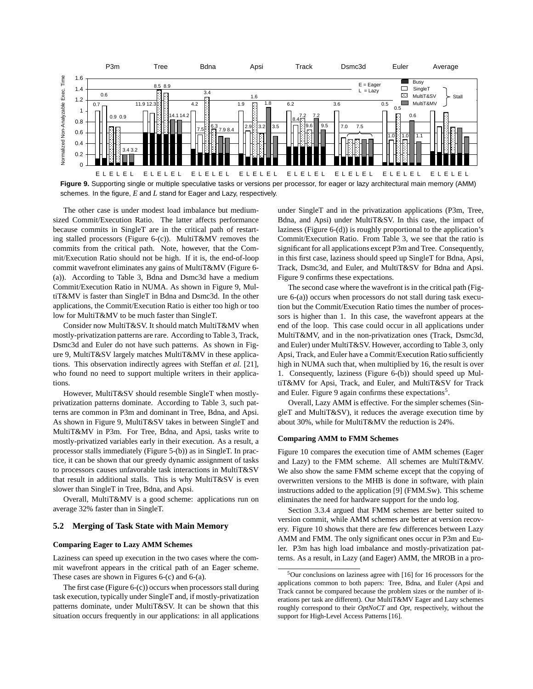

schemes. In the figure, *E* and *L* stand for Eager and Lazy, respectively.

The other case is under modest load imbalance but mediumsized Commit/Execution Ratio. The latter affects performance because commits in SingleT are in the critical path of restarting stalled processors (Figure 6-(c)). MultiT&MV removes the commits from the critical path. Note, however, that the Commit/Execution Ratio should not be high. If it is, the end-of-loop commit wavefront eliminates any gains of MultiT&MV (Figure 6- (a)). According to Table 3, Bdna and Dsmc3d have a medium Commit/Execution Ratio in NUMA. As shown in Figure 9, MultiT&MV is faster than SingleT in Bdna and Dsmc3d. In the other applications, the Commit/Execution Ratio is either too high or too low for MultiT&MV to be much faster than SingleT.

Consider now MultiT&SV. It should match MultiT&MV when mostly-privatization patterns are rare. According to Table 3, Track, Dsmc3d and Euler do not have such patterns. As shown in Figure 9, MultiT&SV largely matches MultiT&MV in these applications. This observation indirectly agrees with Steffan *et al.* [21], who found no need to support multiple writers in their applications.

However, MultiT&SV should resemble SingleT when mostlyprivatization patterns dominate. According to Table 3, such patterns are common in P3m and dominant in Tree, Bdna, and Apsi. As shown in Figure 9, MultiT&SV takes in between SingleT and MultiT&MV in P3m. For Tree, Bdna, and Apsi, tasks write to mostly-privatized variables early in their execution. As a result, a processor stalls immediately (Figure 5-(b)) as in SingleT. In practice, it can be shown that our greedy dynamic assignment of tasks to processors causes unfavorable task interactions in MultiT&SV that result in additional stalls. This is why MultiT&SV is even slower than SingleT in Tree, Bdna, and Apsi.

Overall, MultiT&MV is a good scheme: applications run on average 32% faster than in SingleT.

## **5.2 Merging of Task State with Main Memory**

# **Comparing Eager to Lazy AMM Schemes**

Laziness can speed up execution in the two cases where the commit wavefront appears in the critical path of an Eager scheme. These cases are shown in Figures 6-(c) and 6-(a).

The first case (Figure 6-(c)) occurs when processors stall during task execution, typically under SingleT and, if mostly-privatization patterns dominate, under MultiT&SV. It can be shown that this situation occurs frequently in our applications: in all applications

under SingleT and in the privatization applications (P3m, Tree, Bdna, and Apsi) under MultiT&SV. In this case, the impact of laziness (Figure 6-(d)) is roughly proportional to the application's Commit/Execution Ratio. From Table 3, we see that the ratio is significant for all applications except P3m and Tree. Consequently, in this first case, laziness should speed up SingleT for Bdna, Apsi, Track, Dsmc3d, and Euler, and MultiT&SV for Bdna and Apsi. Figure 9 confirms these expectations.

The second case where the wavefront is in the critical path (Figure 6-(a)) occurs when processors do not stall during task execution but the Commit/Execution Ratio times the number of processors is higher than 1. In this case, the wavefront appears at the end of the loop. This case could occur in all applications under MultiT&MV, and in the non-privatization ones (Track, Dsmc3d, and Euler) under MultiT&SV. However, according to Table 3, only Apsi, Track, and Euler have a Commit/Execution Ratio sufficiently high in NUMA such that, when multiplied by 16, the result is over 1. Consequently, laziness (Figure 6-(b)) should speed up MultiT&MV for Apsi, Track, and Euler, and MultiT&SV for Track and Euler. Figure 9 again confirms these expectations<sup>5</sup>.

Overall, Lazy AMM is effective. For the simpler schemes (SingleT and MultiT&SV), it reduces the average execution time by about 30%, while for MultiT&MV the reduction is 24%.

#### **Comparing AMM to FMM Schemes**

Figure 10 compares the execution time of AMM schemes (Eager and Lazy) to the FMM scheme. All schemes are MultiT&MV. We also show the same FMM scheme except that the copying of overwritten versions to the MHB is done in software, with plain instructions added to the application [9] (FMM.Sw). This scheme eliminates the need for hardware support for the undo log.

Section 3.3.4 argued that FMM schemes are better suited to version commit, while AMM schemes are better at version recovery. Figure 10 shows that there are few differences between Lazy AMM and FMM. The only significant ones occur in P3m and Euler. P3m has high load imbalance and mostly-privatization patterns. As a result, in Lazy (and Eager) AMM, the MROB in a pro-

<sup>&</sup>lt;sup>5</sup>Our conclusions on laziness agree with [16] for 16 processors for the applications common to both papers: Tree, Bdna, and Euler (Apsi and Track cannot be compared because the problem sizes or the number of iterations per task are different). Our MultiT&MV Eager and Lazy schemes roughly correspond to their *OptNoCT* and *Opt*, respectively, without the support for High-Level Access Patterns [16].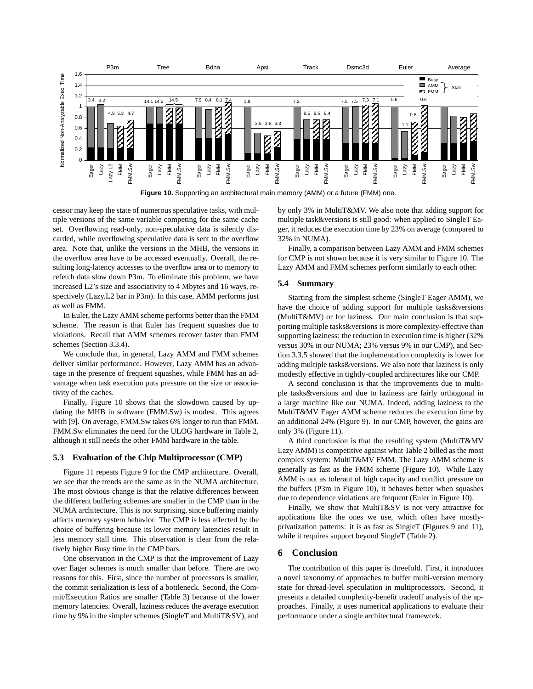

**Figure 10.** Supporting an architectural main memory (AMM) or a future (FMM) one.

cessor may keep the state of numerous speculative tasks, with multiple versions of the same variable competing for the same cache set. Overflowing read-only, non-speculative data is silently discarded, while overflowing speculative data is sent to the overflow area. Note that, unlike the versions in the MHB, the versions in the overflow area have to be accessed eventually. Overall, the resulting long-latency accesses to the overflow area or to memory to refetch data slow down P3m. To eliminate this problem, we have increased L2's size and associativity to 4 Mbytes and 16 ways, respectively (Lazy.L2 bar in P3m). In this case, AMM performs just as well as FMM.

In Euler, the Lazy AMM scheme performs better than the FMM scheme. The reason is that Euler has frequent squashes due to violations. Recall that AMM schemes recover faster than FMM schemes (Section 3.3.4).

We conclude that, in general, Lazy AMM and FMM schemes deliver similar performance. However, Lazy AMM has an advantage in the presence of frequent squashes, while FMM has an advantage when task execution puts pressure on the size or associativity of the caches.

Finally, Figure 10 shows that the slowdown caused by updating the MHB in software (FMM.Sw) is modest. This agrees with [9]. On average, FMM.Sw takes 6% longer to run than FMM. FMM.Sw eliminates the need for the ULOG hardware in Table 2, although it still needs the other FMM hardware in the table.

### **5.3 Evaluation of the Chip Multiprocessor (CMP)**

Figure 11 repeats Figure 9 for the CMP architecture. Overall, we see that the trends are the same as in the NUMA architecture. The most obvious change is that the relative differences between the different buffering schemes are smaller in the CMP than in the NUMA architecture. This is not surprising, since buffering mainly affects memory system behavior. The CMP is less affected by the choice of buffering because its lower memory latencies result in less memory stall time. This observation is clear from the relatively higher Busy time in the CMP bars.

One observation in the CMP is that the improvement of Lazy over Eager schemes is much smaller than before. There are two reasons for this. First, since the number of processors is smaller, the commit serialization is less of a bottleneck. Second, the Commit/Execution Ratios are smaller (Table 3) because of the lower memory latencies. Overall, laziness reduces the average execution time by 9% in the simpler schemes (SingleT and MultiT&SV), and by only 3% in MultiT&MV. We also note that adding support for multiple task&versions is still good: when applied to SingleT Eager, it reduces the execution time by 23% on average (compared to 32% in NUMA).

Finally, a comparison between Lazy AMM and FMM schemes for CMP is not shown because it is very similar to Figure 10. The Lazy AMM and FMM schemes perform similarly to each other.

#### **5.4 Summary**

Starting from the simplest scheme (SingleT Eager AMM), we have the choice of adding support for multiple tasks&versions (MultiT&MV) or for laziness. Our main conclusion is that supporting multiple tasks&versions is more complexity-effective than supporting laziness: the reduction in execution time is higher (32% versus 30% in our NUMA; 23% versus 9% in our CMP), and Section 3.3.5 showed that the implementation complexity is lower for adding multiple tasks&versions. We also note that laziness is only modestly effective in tightly-coupled architectures like our CMP.

A second conclusion is that the improvements due to multiple tasks&versions and due to laziness are fairly orthogonal in a large machine like our NUMA. Indeed, adding laziness to the MultiT&MV Eager AMM scheme reduces the execution time by an additional 24% (Figure 9). In our CMP, however, the gains are only 3% (Figure 11).

A third conclusion is that the resulting system (MultiT&MV Lazy AMM) is competitive against what Table 2 billed as the most complex system: MultiT&MV FMM. The Lazy AMM scheme is generally as fast as the FMM scheme (Figure 10). While Lazy AMM is not as tolerant of high capacity and conflict pressure on the buffers (P3m in Figure 10), it behaves better when squashes due to dependence violations are frequent (Euler in Figure 10).

Finally, we show that MultiT&SV is not very attractive for applications like the ones we use, which often have mostlyprivatization patterns: it is as fast as SingleT (Figures 9 and 11), while it requires support beyond SingleT (Table 2).

# **6 Conclusion**

The contribution of this paper is threefold. First, it introduces a novel taxonomy of approaches to buffer multi-version memory state for thread-level speculation in multiprocessors. Second, it presents a detailed complexity-benefit tradeoff analysis of the approaches. Finally, it uses numerical applications to evaluate their performance under a single architectural framework.